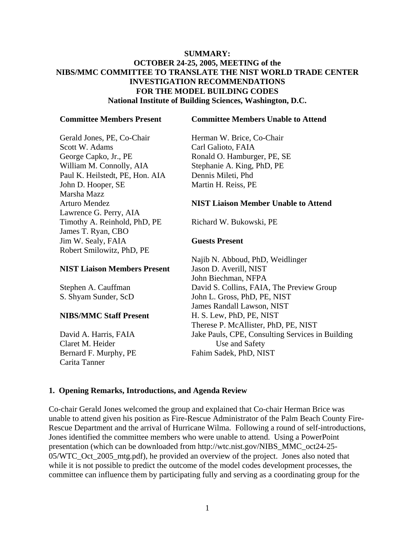#### **SUMMARY: OCTOBER 24-25, 2005, MEETING of the NIBS/MMC COMMITTEE TO TRANSLATE THE NIST WORLD TRADE CENTER INVESTIGATION RECOMMENDATIONS FOR THE MODEL BUILDING CODES National Institute of Building Sciences, Washington, D.C.**

#### **Committee Members Present**

Gerald Jones, PE, Co-Chair Scott W. Adams George Capko, Jr., PE William M. Connolly, AIA Paul K. Heilstedt, PE, Hon. AIA John D. Hooper, SE Marsha Mazz Arturo Mendez Lawrence G. Perry, AIA Timothy A. Reinhold, PhD, PE James T. Ryan, CBO Jim W. Sealy, FAIA Robert Smilowitz, PhD, PE

#### **NIST Liaison Members Present**

Stephen A. Cauffman S. Shyam Sunder, ScD

#### **NIBS/MMC Staff Present**

David A. Harris, FAIA Claret M. Heider Bernard F. Murphy, PE Carita Tanner

#### **Committee Members Unable to Attend**

Herman W. Brice, Co-Chair Carl Galioto, FAIA Ronald O. Hamburger, PE, SE Stephanie A. King, PhD, PE Dennis Mileti, Phd Martin H. Reiss, PE

#### **NIST Liaison Member Unable to Attend**

Richard W. Bukowski, PE

#### **Guests Present**

Najib N. Abboud, PhD, Weidlinger Jason D. Averill, NIST John Biechman, NFPA David S. Collins, FAIA, The Preview Group John L. Gross, PhD, PE, NIST James Randall Lawson, NIST H. S. Lew, PhD, PE, NIST Therese P. McAllister, PhD, PE, NIST Jake Pauls, CPE, Consulting Services in Building Use and Safety Fahim Sadek, PhD, NIST

#### **1. Opening Remarks, Introductions, and Agenda Review**

Co-chair Gerald Jones welcomed the group and explained that Co-chair Herman Brice was unable to attend given his position as Fire-Rescue Administrator of the Palm Beach County Fire-Rescue Department and the arrival of Hurricane Wilma. Following a round of self-introductions, Jones identified the committee members who were unable to attend. Using a PowerPoint presentation (which can be downloaded from http://wtc.nist.gov/NIBS\_MMC\_oct24-25- 05/WTC Oct 2005 mtg.pdf), he provided an overview of the project. Jones also noted that while it is not possible to predict the outcome of the model codes development processes, the committee can influence them by participating fully and serving as a coordinating group for the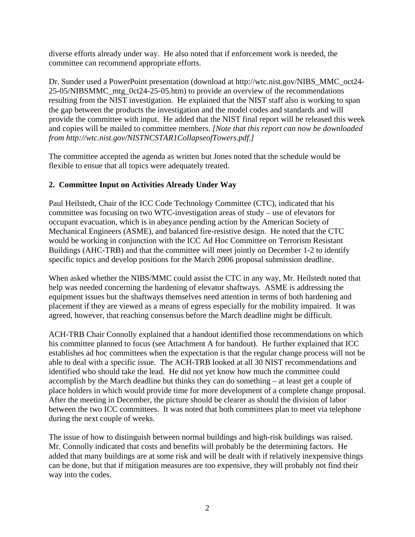diverse efforts already under way. He also noted that if enforcement work is needed, the committee can recommend appropriate efforts.

Dr. Sunder used a PowerPoint presentation (download at http://wtc.nist.gov/NIBS\_MMC\_oct24- 25-05/NIBSMMC\_mtg\_0ct24-25-05.htm) to provide an overview of the recommendations resulting from the NIST investigation. He explained that the NIST staff also is working to span the gap between the products the investigation and the model codes and standards and will provide the committee with input. He added that the NIST final report will be released this week and copies will be mailed to committee members. *[Note that this report can now be downloaded from http://wtc.nist.gov/NISTNCSTAR1CollapseofTowers.pdf.]* 

The committee accepted the agenda as written but Jones noted that the schedule would be flexible to ensue that all topics were adequately treated.

## **2. Committee Input on Activities Already Under Way**

Paul Heilstedt, Chair of the ICC Code Technology Committee (CTC), indicated that his committee was focusing on two WTC-investigation areas of study – use of elevators for occupant evacuation, which is in abeyance pending action by the American Society of Mechanical Engineers (ASME), and balanced fire-resistive design. He noted that the CTC would be working in conjunction with the ICC Ad Hoc Committee on Terrorism Resistant Buildings (AHC-TRB) and that the committee will meet jointly on December 1-2 to identify specific topics and develop positions for the March 2006 proposal submission deadline.

When asked whether the NIBS/MMC could assist the CTC in any way, Mr. Heilstedt noted that help was needed concerning the hardening of elevator shaftways. ASME is addressing the equipment issues but the shaftways themselves need attention in terms of both hardening and placement if they are viewed as a means of egress especially for the mobility impaired. It was agreed, however, that reaching consensus before the March deadline might be difficult.

ACH-TRB Chair Connolly explained that a handout identified those recommendations on which his committee planned to focus (see Attachment A for handout). He further explained that ICC establishes ad hoc committees when the expectation is that the regular change process will not be able to deal with a specific issue. The ACH-TRB looked at all 30 NIST recommendations and identified who should take the lead. He did not yet know how much the committee could accomplish by the March deadline but thinks they can do something – at least get a couple of place holders in which would provide time for more development of a complete change proposal. After the meeting in December, the picture should be clearer as should the division of labor between the two ICC committees. It was noted that both committees plan to meet via telephone during the next couple of weeks.

The issue of how to distinguish between normal buildings and high-risk buildings was raised. Mr. Connolly indicated that costs and benefits will probably be the determining factors. He added that many buildings are at some risk and will be dealt with if relatively inexpensive things can be done, but that if mitigation measures are too expensive, they will probably not find their way into the codes.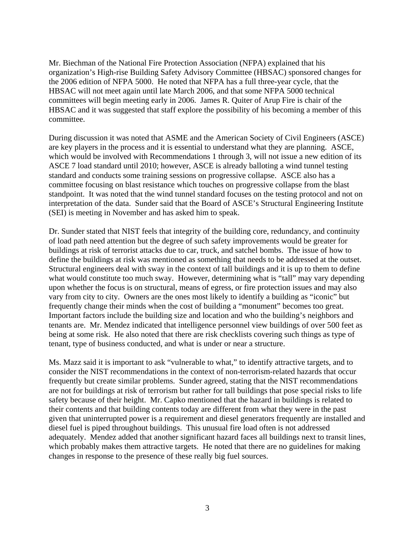Mr. Biechman of the National Fire Protection Association (NFPA) explained that his organization's High-rise Building Safety Advisory Committee (HBSAC) sponsored changes for the 2006 edition of NFPA 5000. He noted that NFPA has a full three-year cycle, that the HBSAC will not meet again until late March 2006, and that some NFPA 5000 technical committees will begin meeting early in 2006. James R. Quiter of Arup Fire is chair of the HBSAC and it was suggested that staff explore the possibility of his becoming a member of this committee.

During discussion it was noted that ASME and the American Society of Civil Engineers (ASCE) are key players in the process and it is essential to understand what they are planning. ASCE, which would be involved with Recommendations 1 through 3, will not issue a new edition of its ASCE 7 load standard until 2010; however, ASCE is already balloting a wind tunnel testing standard and conducts some training sessions on progressive collapse. ASCE also has a committee focusing on blast resistance which touches on progressive collapse from the blast standpoint. It was noted that the wind tunnel standard focuses on the testing protocol and not on interpretation of the data. Sunder said that the Board of ASCE's Structural Engineering Institute (SEI) is meeting in November and has asked him to speak.

Dr. Sunder stated that NIST feels that integrity of the building core, redundancy, and continuity of load path need attention but the degree of such safety improvements would be greater for buildings at risk of terrorist attacks due to car, truck, and satchel bombs. The issue of how to define the buildings at risk was mentioned as something that needs to be addressed at the outset. Structural engineers deal with sway in the context of tall buildings and it is up to them to define what would constitute too much sway. However, determining what is "tall" may vary depending upon whether the focus is on structural, means of egress, or fire protection issues and may also vary from city to city. Owners are the ones most likely to identify a building as "iconic" but frequently change their minds when the cost of building a "monument" becomes too great. Important factors include the building size and location and who the building's neighbors and tenants are. Mr. Mendez indicated that intelligence personnel view buildings of over 500 feet as being at some risk. He also noted that there are risk checklists covering such things as type of tenant, type of business conducted, and what is under or near a structure.

Ms. Mazz said it is important to ask "vulnerable to what," to identify attractive targets, and to consider the NIST recommendations in the context of non-terrorism-related hazards that occur frequently but create similar problems. Sunder agreed, stating that the NIST recommendations are not for buildings at risk of terrorism but rather for tall buildings that pose special risks to life safety because of their height. Mr. Capko mentioned that the hazard in buildings is related to their contents and that building contents today are different from what they were in the past given that uninterrupted power is a requirement and diesel generators frequently are installed and diesel fuel is piped throughout buildings. This unusual fire load often is not addressed adequately. Mendez added that another significant hazard faces all buildings next to transit lines, which probably makes them attractive targets. He noted that there are no guidelines for making changes in response to the presence of these really big fuel sources.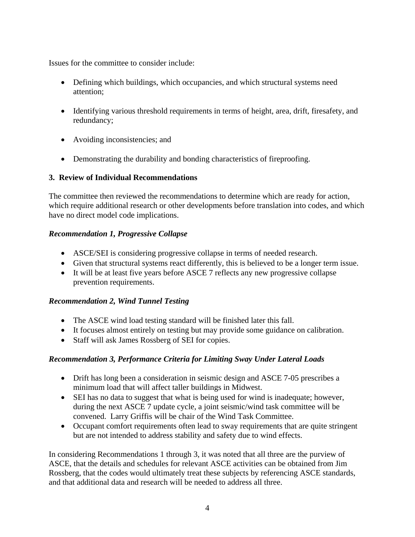Issues for the committee to consider include:

- Defining which buildings, which occupancies, and which structural systems need attention;
- Identifying various threshold requirements in terms of height, area, drift, firesafety, and redundancy;
- Avoiding inconsistencies; and
- Demonstrating the durability and bonding characteristics of fireproofing.

## **3. Review of Individual Recommendations**

The committee then reviewed the recommendations to determine which are ready for action, which require additional research or other developments before translation into codes, and which have no direct model code implications.

## *Recommendation 1, Progressive Collapse*

- ASCE/SEI is considering progressive collapse in terms of needed research.
- Given that structural systems react differently, this is believed to be a longer term issue.
- It will be at least five years before ASCE 7 reflects any new progressive collapse prevention requirements.

# *Recommendation 2, Wind Tunnel Testing*

- The ASCE wind load testing standard will be finished later this fall.
- It focuses almost entirely on testing but may provide some guidance on calibration.
- Staff will ask James Rossberg of SEI for copies.

# *Recommendation 3, Performance Criteria for Limiting Sway Under Lateral Loads*

- Drift has long been a consideration in seismic design and ASCE 7-05 prescribes a minimum load that will affect taller buildings in Midwest.
- SEI has no data to suggest that what is being used for wind is inadequate; however, during the next ASCE 7 update cycle, a joint seismic/wind task committee will be convened. Larry Griffis will be chair of the Wind Task Committee.
- Occupant comfort requirements often lead to sway requirements that are quite stringent but are not intended to address stability and safety due to wind effects.

In considering Recommendations 1 through 3, it was noted that all three are the purview of ASCE, that the details and schedules for relevant ASCE activities can be obtained from Jim Rossberg, that the codes would ultimately treat these subjects by referencing ASCE standards, and that additional data and research will be needed to address all three.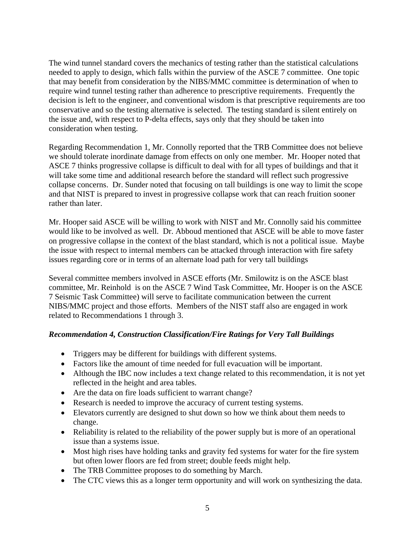The wind tunnel standard covers the mechanics of testing rather than the statistical calculations needed to apply to design, which falls within the purview of the ASCE 7 committee. One topic that may benefit from consideration by the NIBS/MMC committee is determination of when to require wind tunnel testing rather than adherence to prescriptive requirements. Frequently the decision is left to the engineer, and conventional wisdom is that prescriptive requirements are too conservative and so the testing alternative is selected. The testing standard is silent entirely on the issue and, with respect to P-delta effects, says only that they should be taken into consideration when testing.

Regarding Recommendation 1, Mr. Connolly reported that the TRB Committee does not believe we should tolerate inordinate damage from effects on only one member. Mr. Hooper noted that ASCE 7 thinks progressive collapse is difficult to deal with for all types of buildings and that it will take some time and additional research before the standard will reflect such progressive collapse concerns. Dr. Sunder noted that focusing on tall buildings is one way to limit the scope and that NIST is prepared to invest in progressive collapse work that can reach fruition sooner rather than later.

Mr. Hooper said ASCE will be willing to work with NIST and Mr. Connolly said his committee would like to be involved as well. Dr. Abboud mentioned that ASCE will be able to move faster on progressive collapse in the context of the blast standard, which is not a political issue. Maybe the issue with respect to internal members can be attacked through interaction with fire safety issues regarding core or in terms of an alternate load path for very tall buildings

Several committee members involved in ASCE efforts (Mr. Smilowitz is on the ASCE blast committee, Mr. Reinhold is on the ASCE 7 Wind Task Committee, Mr. Hooper is on the ASCE 7 Seismic Task Committee) will serve to facilitate communication between the current NIBS/MMC project and those efforts. Members of the NIST staff also are engaged in work related to Recommendations 1 through 3.

#### *Recommendation 4, Construction Classification/Fire Ratings for Very Tall Buildings*

- Triggers may be different for buildings with different systems.
- Factors like the amount of time needed for full evacuation will be important.
- Although the IBC now includes a text change related to this recommendation, it is not yet reflected in the height and area tables.
- Are the data on fire loads sufficient to warrant change?
- Research is needed to improve the accuracy of current testing systems.
- Elevators currently are designed to shut down so how we think about them needs to change.
- Reliability is related to the reliability of the power supply but is more of an operational issue than a systems issue.
- Most high rises have holding tanks and gravity fed systems for water for the fire system but often lower floors are fed from street; double feeds might help.
- The TRB Committee proposes to do something by March.
- The CTC views this as a longer term opportunity and will work on synthesizing the data.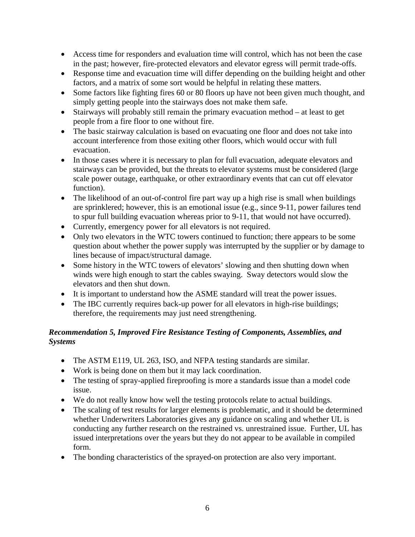- Access time for responders and evaluation time will control, which has not been the case in the past; however, fire-protected elevators and elevator egress will permit trade-offs.
- Response time and evacuation time will differ depending on the building height and other factors, and a matrix of some sort would be helpful in relating these matters.
- Some factors like fighting fires 60 or 80 floors up have not been given much thought, and simply getting people into the stairways does not make them safe.
- Stairways will probably still remain the primary evacuation method at least to get people from a fire floor to one without fire.
- The basic stairway calculation is based on evacuating one floor and does not take into account interference from those exiting other floors, which would occur with full evacuation.
- In those cases where it is necessary to plan for full evacuation, adequate elevators and stairways can be provided, but the threats to elevator systems must be considered (large scale power outage, earthquake, or other extraordinary events that can cut off elevator function).
- The likelihood of an out-of-control fire part way up a high rise is small when buildings are sprinklered; however, this is an emotional issue (e.g., since 9-11, power failures tend to spur full building evacuation whereas prior to 9-11, that would not have occurred).
- Currently, emergency power for all elevators is not required.
- Only two elevators in the WTC towers continued to function; there appears to be some question about whether the power supply was interrupted by the supplier or by damage to lines because of impact/structural damage.
- Some history in the WTC towers of elevators' slowing and then shutting down when winds were high enough to start the cables swaying. Sway detectors would slow the elevators and then shut down.
- It is important to understand how the ASME standard will treat the power issues.
- The IBC currently requires back-up power for all elevators in high-rise buildings; therefore, the requirements may just need strengthening.

# *Recommendation 5, Improved Fire Resistance Testing of Components, Assemblies, and Systems*

- The ASTM E119, UL 263, ISO, and NFPA testing standards are similar.
- Work is being done on them but it may lack coordination.
- The testing of spray-applied fireproofing is more a standards issue than a model code issue.
- We do not really know how well the testing protocols relate to actual buildings.
- The scaling of test results for larger elements is problematic, and it should be determined whether Underwriters Laboratories gives any guidance on scaling and whether UL is conducting any further research on the restrained vs. unrestrained issue. Further, UL has issued interpretations over the years but they do not appear to be available in compiled form.
- The bonding characteristics of the sprayed-on protection are also very important.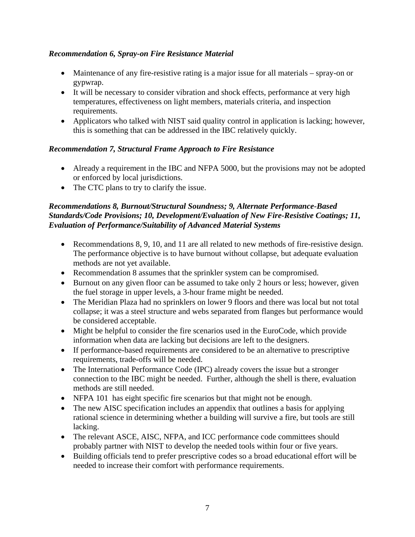## *Recommendation 6, Spray-on Fire Resistance Material*

- Maintenance of any fire-resistive rating is a major issue for all materials spray-on or gypwrap.
- It will be necessary to consider vibration and shock effects, performance at very high temperatures, effectiveness on light members, materials criteria, and inspection requirements.
- Applicators who talked with NIST said quality control in application is lacking; however, this is something that can be addressed in the IBC relatively quickly.

# *Recommendation 7, Structural Frame Approach to Fire Resistance*

- Already a requirement in the IBC and NFPA 5000, but the provisions may not be adopted or enforced by local jurisdictions.
- The CTC plans to try to clarify the issue.

#### *Recommendations 8, Burnout/Structural Soundness; 9, Alternate Performance-Based Standards/Code Provisions; 10, Development/Evaluation of New Fire-Resistive Coatings; 11, Evaluation of Performance/Suitability of Advanced Material Systems*

- Recommendations 8, 9, 10, and 11 are all related to new methods of fire-resistive design. The performance objective is to have burnout without collapse, but adequate evaluation methods are not yet available.
- Recommendation 8 assumes that the sprinkler system can be compromised.
- Burnout on any given floor can be assumed to take only 2 hours or less; however, given the fuel storage in upper levels, a 3-hour frame might be needed.
- The Meridian Plaza had no sprinklers on lower 9 floors and there was local but not total collapse; it was a steel structure and webs separated from flanges but performance would be considered acceptable.
- Might be helpful to consider the fire scenarios used in the EuroCode, which provide information when data are lacking but decisions are left to the designers.
- If performance-based requirements are considered to be an alternative to prescriptive requirements, trade-offs will be needed.
- The International Performance Code (IPC) already covers the issue but a stronger connection to the IBC might be needed. Further, although the shell is there, evaluation methods are still needed.
- NFPA 101 has eight specific fire scenarios but that might not be enough.
- The new AISC specification includes an appendix that outlines a basis for applying rational science in determining whether a building will survive a fire, but tools are still lacking.
- The relevant ASCE, AISC, NFPA, and ICC performance code committees should probably partner with NIST to develop the needed tools within four or five years.
- Building officials tend to prefer prescriptive codes so a broad educational effort will be needed to increase their comfort with performance requirements.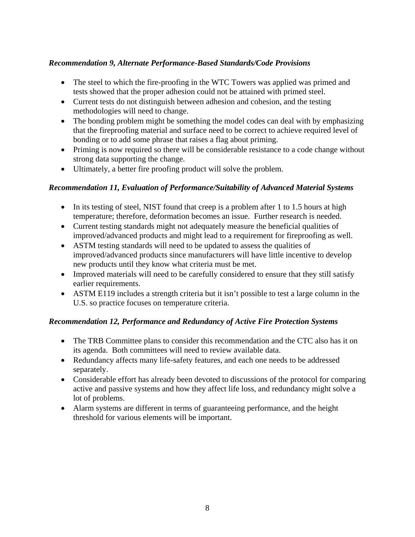## *Recommendation 9, Alternate Performance-Based Standards/Code Provisions*

- The steel to which the fire-proofing in the WTC Towers was applied was primed and tests showed that the proper adhesion could not be attained with primed steel.
- Current tests do not distinguish between adhesion and cohesion, and the testing methodologies will need to change.
- The bonding problem might be something the model codes can deal with by emphasizing that the fireproofing material and surface need to be correct to achieve required level of bonding or to add some phrase that raises a flag about priming.
- Priming is now required so there will be considerable resistance to a code change without strong data supporting the change.
- Ultimately, a better fire proofing product will solve the problem.

## *Recommendation 11, Evaluation of Performance/Suitability of Advanced Material Systems*

- In its testing of steel, NIST found that creep is a problem after 1 to 1.5 hours at high temperature; therefore, deformation becomes an issue. Further research is needed.
- Current testing standards might not adequately measure the beneficial qualities of improved/advanced products and might lead to a requirement for fireproofing as well.
- ASTM testing standards will need to be updated to assess the qualities of improved/advanced products since manufacturers will have little incentive to develop new products until they know what criteria must be met.
- Improved materials will need to be carefully considered to ensure that they still satisfy earlier requirements.
- ASTM E119 includes a strength criteria but it isn't possible to test a large column in the U.S. so practice focuses on temperature criteria.

#### *Recommendation 12, Performance and Redundancy of Active Fire Protection Systems*

- The TRB Committee plans to consider this recommendation and the CTC also has it on its agenda. Both committees will need to review available data.
- Redundancy affects many life-safety features, and each one needs to be addressed separately.
- Considerable effort has already been devoted to discussions of the protocol for comparing active and passive systems and how they affect life loss, and redundancy might solve a lot of problems.
- Alarm systems are different in terms of guaranteeing performance, and the height threshold for various elements will be important.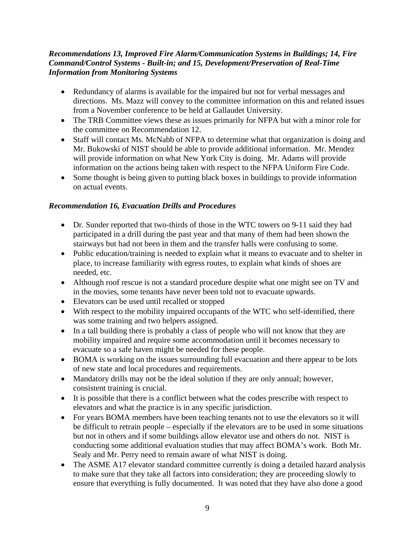#### *Recommendations 13, Improved Fire Alarm/Communication Systems in Buildings; 14, Fire Command/Control Systems - Built-in; and 15, Development/Preservation of Real-Time Information from Monitoring Systems*

- Redundancy of alarms is available for the impaired but not for verbal messages and directions. Ms. Mazz will convey to the committee information on this and related issues from a November conference to be held at Gallaudet University.
- The TRB Committee views these as issues primarily for NFPA but with a minor role for the committee on Recommendation 12.
- Staff will contact Ms. McNabb of NFPA to determine what that organization is doing and Mr. Bukowski of NIST should be able to provide additional information. Mr. Mendez will provide information on what New York City is doing. Mr. Adams will provide information on the actions being taken with respect to the NFPA Uniform Fire Code.
- Some thought is being given to putting black boxes in buildings to provide information on actual events.

## *Recommendation 16, Evacuation Drills and Procedures*

- Dr. Sunder reported that two-thirds of those in the WTC towers on 9-11 said they had participated in a drill during the past year and that many of them had been shown the stairways but had not been in them and the transfer halls were confusing to some.
- Public education/training is needed to explain what it means to evacuate and to shelter in place, to increase familiarity with egress routes, to explain what kinds of shoes are needed, etc.
- Although roof rescue is not a standard procedure despite what one might see on TV and in the movies, some tenants have never been told not to evacuate upwards.
- Elevators can be used until recalled or stopped
- With respect to the mobility impaired occupants of the WTC who self-identified, there was some training and two helpers assigned.
- In a tall building there is probably a class of people who will not know that they are mobility impaired and require some accommodation until it becomes necessary to evacuate so a safe haven might be needed for these people.
- BOMA is working on the issues surrounding full evacuation and there appear to be lots of new state and local procedures and requirements.
- Mandatory drills may not be the ideal solution if they are only annual; however, consistent training is crucial.
- It is possible that there is a conflict between what the codes prescribe with respect to elevators and what the practice is in any specific jurisdiction.
- For years BOMA members have been teaching tenants not to use the elevators so it will be difficult to retrain people – especially if the elevators are to be used in some situations but not in others and if some buildings allow elevator use and others do not. NIST is conducting some additional evaluation studies that may affect BOMA's work. Both Mr. Sealy and Mr. Perry need to remain aware of what NIST is doing.
- The ASME A17 elevator standard committee currently is doing a detailed hazard analysis to make sure that they take all factors into consideration; they are proceeding slowly to ensure that everything is fully documented. It was noted that they have also done a good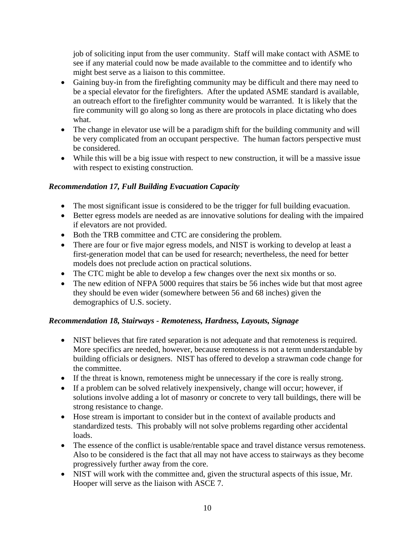job of soliciting input from the user community. Staff will make contact with ASME to see if any material could now be made available to the committee and to identify who might best serve as a liaison to this committee.

- Gaining buy-in from the firefighting community may be difficult and there may need to be a special elevator for the firefighters. After the updated ASME standard is available, an outreach effort to the firefighter community would be warranted. It is likely that the fire community will go along so long as there are protocols in place dictating who does what.
- The change in elevator use will be a paradigm shift for the building community and will be very complicated from an occupant perspective. The human factors perspective must be considered.
- While this will be a big issue with respect to new construction, it will be a massive issue with respect to existing construction.

# *Recommendation 17, Full Building Evacuation Capacity*

- The most significant issue is considered to be the trigger for full building evacuation.
- Better egress models are needed as are innovative solutions for dealing with the impaired if elevators are not provided.
- Both the TRB committee and CTC are considering the problem.
- There are four or five major egress models, and NIST is working to develop at least a first-generation model that can be used for research; nevertheless, the need for better models does not preclude action on practical solutions.
- The CTC might be able to develop a few changes over the next six months or so.
- The new edition of NFPA 5000 requires that stairs be 56 inches wide but that most agree they should be even wider (somewhere between 56 and 68 inches) given the demographics of U.S. society.

# *Recommendation 18, Stairways - Remoteness, Hardness, Layouts, Signage*

- NIST believes that fire rated separation is not adequate and that remoteness is required. More specifics are needed, however, because remoteness is not a term understandable by building officials or designers. NIST has offered to develop a strawman code change for the committee.
- If the threat is known, remoteness might be unnecessary if the core is really strong.
- If a problem can be solved relatively inexpensively, change will occur; however, if solutions involve adding a lot of masonry or concrete to very tall buildings, there will be strong resistance to change.
- Hose stream is important to consider but in the context of available products and standardized tests. This probably will not solve problems regarding other accidental loads.
- The essence of the conflict is usable/rentable space and travel distance versus remoteness. Also to be considered is the fact that all may not have access to stairways as they become progressively further away from the core.
- NIST will work with the committee and, given the structural aspects of this issue, Mr. Hooper will serve as the liaison with ASCE 7.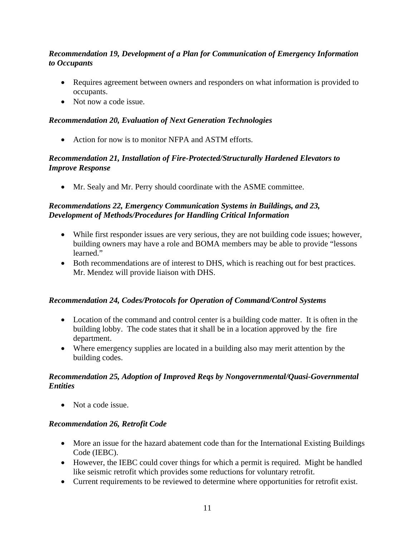## *Recommendation 19, Development of a Plan for Communication of Emergency Information to Occupants*

- Requires agreement between owners and responders on what information is provided to occupants.
- Not now a code issue.

#### *Recommendation 20, Evaluation of Next Generation Technologies*

• Action for now is to monitor NFPA and ASTM efforts.

#### *Recommendation 21, Installation of Fire-Protected/Structurally Hardened Elevators to Improve Response*

• Mr. Sealy and Mr. Perry should coordinate with the ASME committee.

## *Recommendations 22, Emergency Communication Systems in Buildings, and 23, Development of Methods/Procedures for Handling Critical Information*

- While first responder issues are very serious, they are not building code issues; however, building owners may have a role and BOMA members may be able to provide "lessons learned."
- Both recommendations are of interest to DHS, which is reaching out for best practices. Mr. Mendez will provide liaison with DHS.

#### *Recommendation 24, Codes/Protocols for Operation of Command/Control Systems*

- Location of the command and control center is a building code matter. It is often in the building lobby. The code states that it shall be in a location approved by the fire department.
- Where emergency supplies are located in a building also may merit attention by the building codes.

## *Recommendation 25, Adoption of Improved Reqs by Nongovernmental/Quasi-Governmental Entities*

• Not a code issue.

#### *Recommendation 26, Retrofit Code*

- More an issue for the hazard abatement code than for the International Existing Buildings Code (IEBC).
- However, the IEBC could cover things for which a permit is required. Might be handled like seismic retrofit which provides some reductions for voluntary retrofit.
- Current requirements to be reviewed to determine where opportunities for retrofit exist.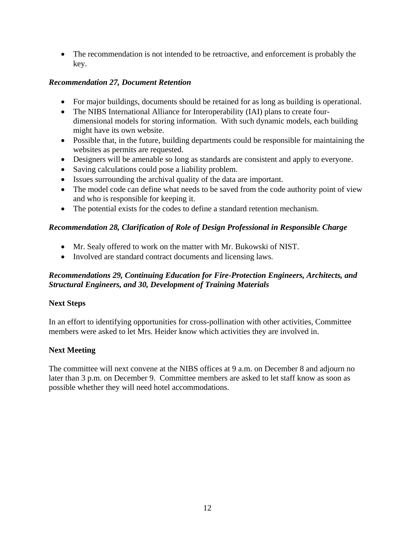• The recommendation is not intended to be retroactive, and enforcement is probably the key.

#### *Recommendation 27, Document Retention*

- For major buildings, documents should be retained for as long as building is operational.
- The NIBS International Alliance for Interoperability (IAI) plans to create fourdimensional models for storing information. With such dynamic models, each building might have its own website.
- Possible that, in the future, building departments could be responsible for maintaining the websites as permits are requested.
- Designers will be amenable so long as standards are consistent and apply to everyone.
- Saving calculations could pose a liability problem.
- Issues surrounding the archival quality of the data are important.
- The model code can define what needs to be saved from the code authority point of view and who is responsible for keeping it.
- The potential exists for the codes to define a standard retention mechanism.

## *Recommendation 28, Clarification of Role of Design Professional in Responsible Charge*

- Mr. Sealy offered to work on the matter with Mr. Bukowski of NIST.
- Involved are standard contract documents and licensing laws.

## *Recommendations 29, Continuing Education for Fire-Protection Engineers, Architects, and Structural Engineers, and 30, Development of Training Materials*

#### **Next Steps**

In an effort to identifying opportunities for cross-pollination with other activities, Committee members were asked to let Mrs. Heider know which activities they are involved in.

# **Next Meeting**

The committee will next convene at the NIBS offices at 9 a.m. on December 8 and adjourn no later than 3 p.m. on December 9. Committee members are asked to let staff know as soon as possible whether they will need hotel accommodations.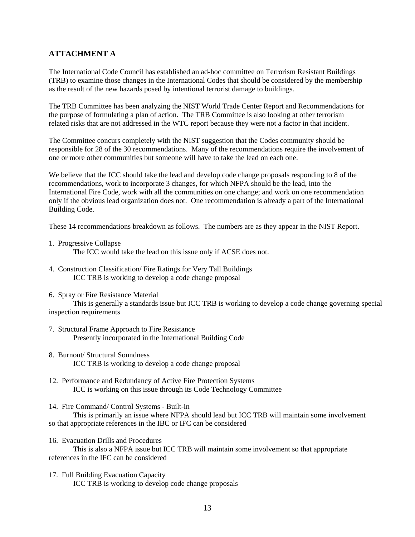#### **ATTACHMENT A**

The International Code Council has established an ad-hoc committee on Terrorism Resistant Buildings (TRB) to examine those changes in the International Codes that should be considered by the membership as the result of the new hazards posed by intentional terrorist damage to buildings.

The TRB Committee has been analyzing the NIST World Trade Center Report and Recommendations for the purpose of formulating a plan of action. The TRB Committee is also looking at other terrorism related risks that are not addressed in the WTC report because they were not a factor in that incident.

The Committee concurs completely with the NIST suggestion that the Codes community should be responsible for 28 of the 30 recommendations. Many of the recommendations require the involvement of one or more other communities but someone will have to take the lead on each one.

We believe that the ICC should take the lead and develop code change proposals responding to 8 of the recommendations, work to incorporate 3 changes, for which NFPA should be the lead, into the International Fire Code, work with all the communities on one change; and work on one recommendation only if the obvious lead organization does not. One recommendation is already a part of the International Building Code.

These 14 recommendations breakdown as follows. The numbers are as they appear in the NIST Report.

1. Progressive Collapse

The ICC would take the lead on this issue only if ACSE does not.

- 4. Construction Classification/ Fire Ratings for Very Tall Buildings ICC TRB is working to develop a code change proposal
- 6. Spray or Fire Resistance Material

 This is generally a standards issue but ICC TRB is working to develop a code change governing special inspection requirements

- 7. Structural Frame Approach to Fire Resistance Presently incorporated in the International Building Code
- 8. Burnout/ Structural Soundness ICC TRB is working to develop a code change proposal
- 12. Performance and Redundancy of Active Fire Protection Systems ICC is working on this issue through its Code Technology Committee
- 14. Fire Command/ Control Systems Built-in

 This is primarily an issue where NFPA should lead but ICC TRB will maintain some involvement so that appropriate references in the IBC or IFC can be considered

16. Evacuation Drills and Procedures

 This is also a NFPA issue but ICC TRB will maintain some involvement so that appropriate references in the IFC can be considered

17. Full Building Evacuation Capacity ICC TRB is working to develop code change proposals